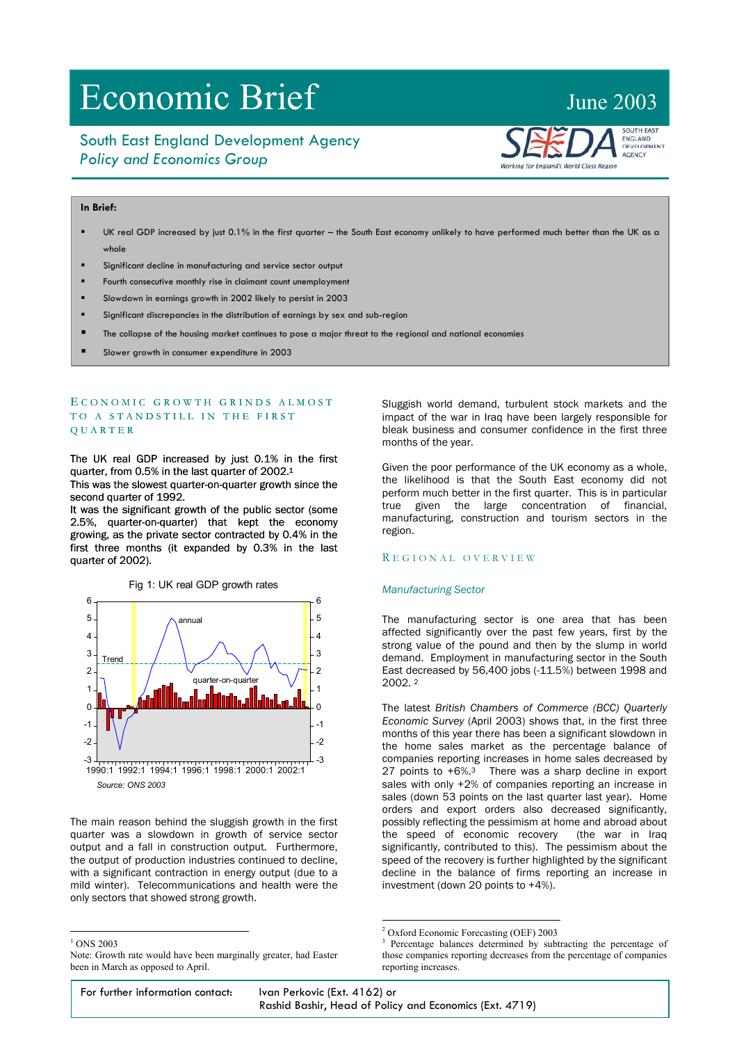# Economic Brief June 2003

# South East England Development Agency *Policy and Economics Group*

# **In Brief:**

- UK real GDP increased by just 0.1% in the first quarter the South East economy unlikely to have performed much better than the UK as a whole
- Significant decline in manufacturing and service sector output
- Fourth consecutive monthly rise in claimant count unemployment
- Slowdown in earnings growth in 2002 likely to persist in 2003
- Significant discrepancies in the distribution of earnings by sex and sub-region

- The collapse of the housing market continues to pose a major threat to the regional and national economies
- Slower growth in consumer expenditure in 2003

# ECONOMIC GROWTH GRINDS ALMOST TO A STANDSTILL IN THE FIRST Q U A R T E R

The UK real GDP increased by just 0.1% in the first quarter, from 0.5% in the last quarter of 2002.[1](#page-0-0) This was the slowest quarter-on-quarter growth since the second quarter of 1992.

It was the significant growth of the public sector (some 2.5%, quarter-on-quarter) that kept the economy growing, as the private sector contracted by 0.4% in the first three months (it expanded by 0.3% in the last quarter of 2002).



The main reason behind the sluggish growth in the first quarter was a slowdown in growth of service sector output and a fall in construction output. Furthermore, the output of production industries continued to decline, with a significant contraction in energy output (due to a mild winter). Telecommunications and health were the only sectors that showed strong growth.

<span id="page-0-0"></span> $1$  ONS 2003

 $\overline{a}$ 

Sluggish world demand, turbulent stock markets and the impact of the war in Iraq have been largely responsible for bleak business and consumer confidence in the first three months of the year.

lorking for England's World Class Region

**SOUTH EAST ENGLAND** DEVELOPMENT AGENCY

 Given the poor performance of the UK economy as a whole, the likelihood is that the South East economy did not perform much better in the first quarter. This is in particular true given the large concentration of financial, manufacturing, construction and tourism sectors in the region.

### R E G I O NAL OVERVIE W

#### *Manufacturing Sector*

The manufacturing sector is one area that has been affected significantly over the past few years, first by the strong value of the pound and then by the slump in world demand. Employment in manufacturing sector in the South East decreased by 56,400 jobs (-11.5%) between 1998 and 2002. [2](#page-0-1)

The latest *British Chambers of Commerce (BCC) Quarterly Economic Survey* (April 2003) shows that, in the first three months of this year there has been a significant slowdown in the home sales market as the percentage balance of companies reporting increases in home sales decreased by 27 points to  $+6\%$ .<sup>3</sup> There was a sharp decline in export sales with only +2% of companies reporting an increase in sales (down 53 points on the last quarter last year). Home orders and export orders also decreased significantly, possibly reflecting the pessimism at home and abroad about the speed of economic recovery (the war in Iraq significantly, contributed to this). The pessimism about the speed of the recovery is further highlighted by the significant decline in the balance of firms reporting an increase in investment (down 20 points to +4%).

For further information contact: Ivan Perkovic (Ext. 4162) or Rashid Bashir, Head of Policy and Economics (Ext. 4719)

Note: Growth rate would have been marginally greater, had Easter been in March as opposed to April.

<sup>&</sup>lt;sup>2</sup> Oxford Economic Forecasting (OEF) 2003<br><sup>3</sup> December 2003<br><sup>3</sup> December 2003

<span id="page-0-2"></span><span id="page-0-1"></span><sup>&</sup>lt;sup>3</sup> Percentage balances determined by subtracting the percentage of those companies reporting decreases from the percentage of companies reporting increases.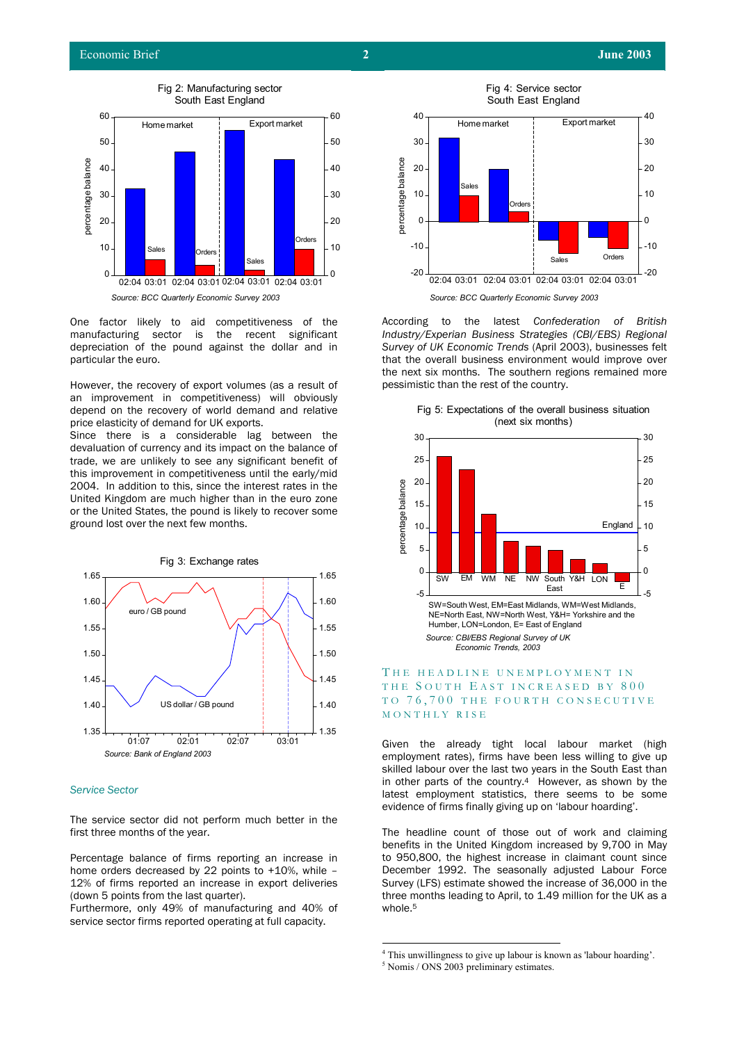

One factor likely to aid competitiveness of the manufacturing sector is the recent significant depreciation of the pound against the dollar and in particular the euro.

However, the recovery of export volumes (as a result of an improvement in competitiveness) will obviously depend on the recovery of world demand and relative price elasticity of demand for UK exports.

Since there is a considerable lag between the devaluation of currency and its impact on the balance of trade, we are unlikely to see any significant benefit of this improvement in competitiveness until the early/mid 2004. In addition to this, since the interest rates in the United Kingdom are much higher than in the euro zone or the United States, the pound is likely to recover some ground lost over the next few months.



#### *Service Sector*

The service sector did not perform much better in the first three months of the year. The headline count of those out of work and claiming

Percentage balance of firms reporting an increase in home orders decreased by 22 points to +10%, while – 12% of firms reported an increase in export deliveries (down 5 points from the last quarter).

Furthermore, only 49% of manufacturing and 40% of service sector firms reported operating at full capacity.



According to the latest *Confederation of British Industry/Experian Business Strategies (CBI/EBS) Regional Survey of UK Economic Trends* (April 2003), businesses felt that the overall business environment would improve over the next six months. The southern regions remained more pessimistic than the rest of the country.



Fig 5: Expectations of the overall business situation (next six months)

## THE HEADLINE UNEMPLOYMENT IN THE SOUTH EAST INCREASED BY 800 TO 76, 700 THE FOURTH CONSECUTIVE MONTHLY RISE

Given the already tight local labour market (high employment rates), firms have been less willing to give up skilled labour over the last two years in the South East than in other parts of the countr[y.](#page-1-0)4 However, as shown by the latest employment statistics, there seems to be some evidence of firms finally giving up on 'labour hoarding'.

benefits in the United Kingdom increased by 9,700 in May to 950,800, the highest increase in claimant count since December 1992. The seasonally adjusted Labour Force Survey (LFS) estimate showed the increase of 36,000 in the three months leading to April, to 1.49 million for the UK as a whole.<sup>5</sup>

 $\frac{1}{4}$ <sup>4</sup> This unwillingness to give up labour is known as 'labour hoarding'.

<span id="page-1-1"></span><span id="page-1-0"></span><sup>&</sup>lt;sup>5</sup> Nomis / ONS 2003 preliminary estimates.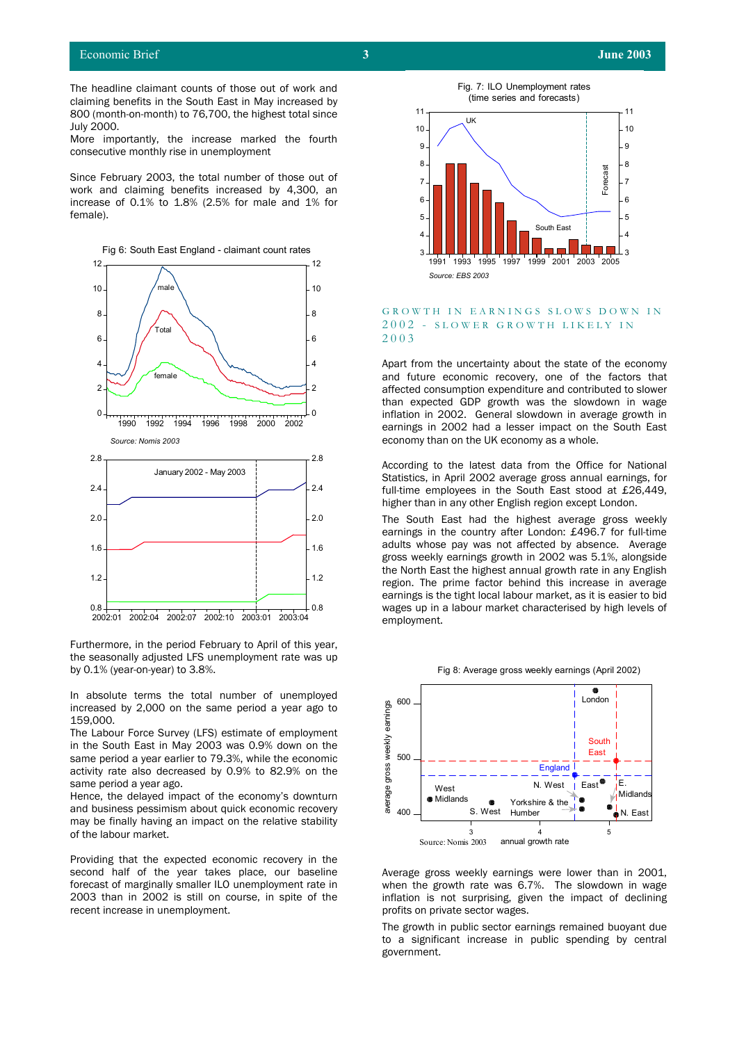The headline claimant counts of those out of work and claiming benefits in the South East in May increased by 800 (month-on-month) to 76,700, the highest total since July 2000.

More importantly, the increase marked the fourth consecutive monthly rise in unemployment

Since February 2003, the total number of those out of work and claiming benefits increased by 4,300, an increase of 0.1% to 1.8% (2.5% for male and 1% for female).



Furthermore, in the period February to April of this year, the seasonally adjusted LFS unemployment rate was up by 0.1% (year-on-year) to 3.8%.

In absolute terms the total number of unemployed increased by 2,000 on the same period a year ago to 159,000.

The Labour Force Survey (LFS) estimate of employment in the South East in May 2003 was 0.9% down on the same period a year earlier to 79.3%, while the economic activity rate also decreased by 0.9% to 82.9% on the same period a year ago.

Hence, the delayed impact of the economy's downturn and business pessimism about quick economic recovery may be finally having an impact on the relative stability of the labour market.

Providing that the expected economic recovery in the second half of the year takes place, our baseline forecast of marginally smaller ILO unemployment rate in 2003 than in 2002 is still on course, in spite of the recent increase in unemployment.



#### GROWTH IN EARNINGS SLOWS DOWN IN 2002 - SLOWER GROWTH LIKELY IN 200 3

Apart from the uncertainty about the state of the economy and future economic recovery, one of the factors that affected consumption expenditure and contributed to slower than expected GDP growth was the slowdown in wage inflation in 2002. General slowdown in average growth in earnings in 2002 had a lesser impact on the South East economy than on the UK economy as a whole.

According to the latest data from the Office for National Statistics, in April 2002 average gross annual earnings, for full-time employees in the South East stood at £26,449, higher than in any other English region except London.

The South East had the highest average gross weekly earnings in the country after London: £496.7 for full-time adults whose pay was not affected by absence. Average gross weekly earnings growth in 2002 was 5.1%, alongside the North East the highest annual growth rate in any English region. The prime factor behind this increase in average earnings is the tight local labour market, as it is easier to bid wages up in a labour market characterised by high levels of employment.





Average gross weekly earnings were lower than in 2001, when the growth rate was 6.7%. The slowdown in wage inflation is not surprising, given the impact of declining profits on private sector wages.

The growth in public sector earnings remained buoyant due to a significant increase in public spending by central government.